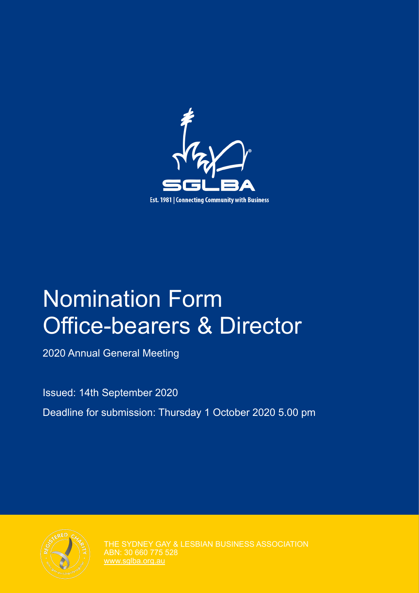

# Nomination Form Office-bearers & Director

2020 Annual General Meeting

Issued: 14th September 2020

Deadline for submission: Thursday 1 October 2020 5.00 pm



THE SYDNEY GAY & LESBIAN BUSINESS ASSOCIATION ABN: 30 660 775 528 [www.sglba.org.au](http://www.sglba.org.au)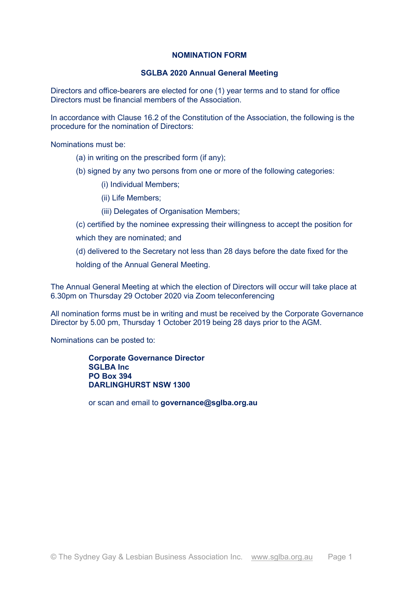## **NOMINATION FORM**

## **SGLBA 2020 Annual General Meeting**

Directors and office-bearers are elected for one (1) year terms and to stand for office Directors must be financial members of the Association.

In accordance with Clause 16.2 of the Constitution of the Association, the following is the procedure for the nomination of Directors:

Nominations must be:

- (a) in writing on the prescribed form (if any);
- (b) signed by any two persons from one or more of the following categories:
	- (i) Individual Members;
	- (ii) Life Members;
	- (iii) Delegates of Organisation Members;
- (c) certified by the nominee expressing their willingness to accept the position for
- which they are nominated; and
- $(d)$  delivered to the Secretary not less than 28 days before the date fixed for the
- holding of the Annual General Meeting.

The Annual General Meeting at which the election of Directors will occur will take place at 6.30pm on Thursday 29 October 2020 via Zoom teleconferencing

All nomination forms must be in writing and must be received by the Corporate Governance Director by 5.00 pm, Thursday 1 October 2019 being 28 days prior to the AGM.

Nominations can be posted to:

**Corporate Governance Director SGLBA** Inc. **PO Box 394 DARLINGHURST NSW 1300** 

or scan and email to governance@sglba.org.au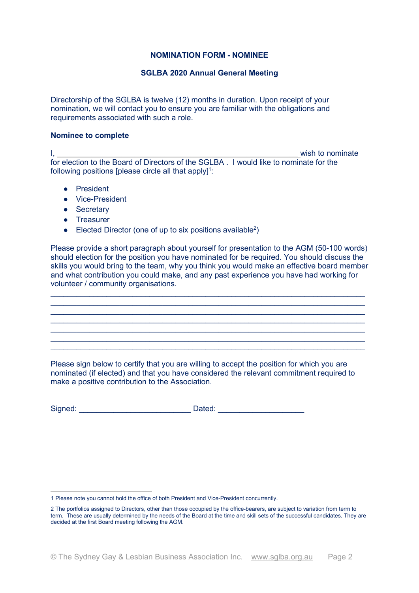### **NOMINATION FORM - NOMINEE**

## **SGLBA 2020 Annual General Meeting**

Directorship of the SGLBA is twelve (12) months in duration. Upon receipt of your nomination, we will contact you to ensure you are familiar with the obligations and requirements associated with such a role.

#### **Nominee to complete**

I, **BBBBBBBBBBBBBBBBBBBBBBBBBBBBBBBBBBBBBBBBBBBBBBBBBBBBBBBB** wish to nominate for election to the Board of Directors of the SGLBA . I would like to nominate for the following positions [please circle all that apply]<sup>1</sup>:

- **•** President
- Vice-President
- Secretary
- Treasurer
- Elected Director (one of up to six positions available<sup>2</sup>)

Please provide a short paragraph about yourself for presentation to the AGM (50-100 words) should election for the position you have nominated for be required. You should discuss the skills you would bring to the team, why you think you would make an effective board member and what contribution you could make, and any past experience you have had working for volunteer / community organisations.

 $\_$  $\_$  $\_$  , and the set of the set of the set of the set of the set of the set of the set of the set of the set of the set of the set of the set of the set of the set of the set of the set of the set of the set of the set of th  $\_$  $\_$  $\_$  , and the set of the set of the set of the set of the set of the set of the set of the set of the set of the set of the set of the set of the set of the set of the set of the set of the set of the set of the set of th

Please sign below to certify that you are willing to accept the position for which you are nominated (if elected) and that you have considered the relevant commitment required to make a positive contribution to the Association.

| Signed: | Dated: |
|---------|--------|
|---------|--------|

<sup>1</sup> Please note you cannot hold the office of both President and Vice-President concurrently.

<sup>2</sup> The portfolios assigned to Directors, other than those occupied by the office-bearers, are subject to variation from term to term. These are usually determined by the needs of the Board at the time and skill sets of the successful candidates. They are decided at the first Board meeting following the AGM.